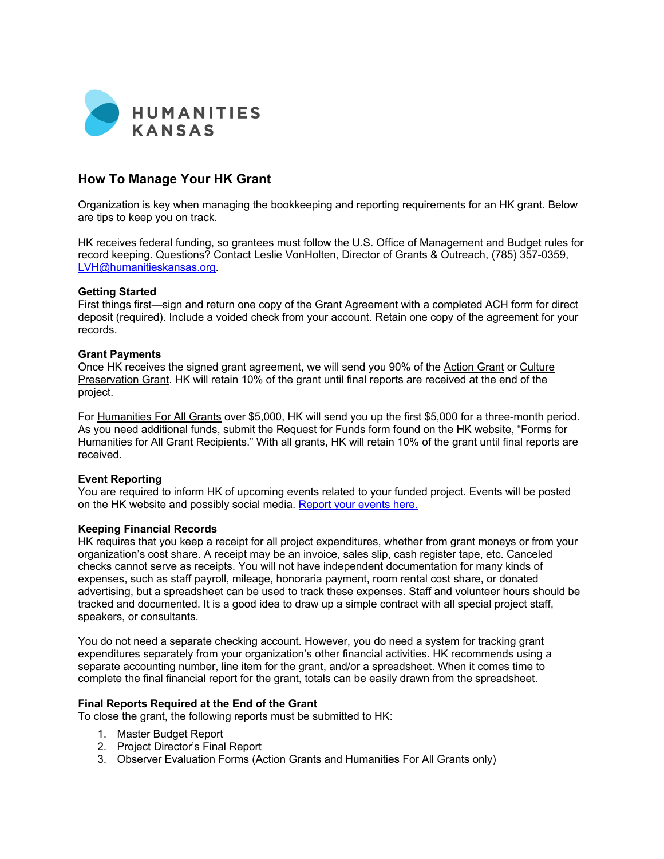

# **How To Manage Your HK Grant**

Organization is key when managing the bookkeeping and reporting requirements for an HK grant. Below are tips to keep you on track.

HK receives federal funding, so grantees must follow the U.S. Office of Management and Budget rules for record keeping. Questions? Contact Leslie VonHolten, Director of Grants & Outreach, (785) 357-0359, LVH@humanitieskansas.org.

## **Getting Started**

First things first—sign and return one copy of the Grant Agreement with a completed ACH form for direct deposit (required). Include a voided check from your account. Retain one copy of the agreement for your records.

## **Grant Payments**

Once HK receives the signed grant agreement, we will send you 90% of the Action Grant or Culture Preservation Grant. HK will retain 10% of the grant until final reports are received at the end of the project.

For Humanities For All Grants over \$5,000, HK will send you up the first \$5,000 for a three-month period. As you need additional funds, submit the Request for Funds form found on the HK website, "Forms for Humanities for All Grant Recipients." With all grants, HK will retain 10% of the grant until final reports are received.

## **Event Reporting**

You are required to inform HK of upcoming events related to your funded project. Events will be posted on the HK website and possibly social media. Report your events here.

## **Keeping Financial Records**

HK requires that you keep a receipt for all project expenditures, whether from grant moneys or from your organization's cost share. A receipt may be an invoice, sales slip, cash register tape, etc. Canceled checks cannot serve as receipts. You will not have independent documentation for many kinds of expenses, such as staff payroll, mileage, honoraria payment, room rental cost share, or donated advertising, but a spreadsheet can be used to track these expenses. Staff and volunteer hours should be tracked and documented. It is a good idea to draw up a simple contract with all special project staff, speakers, or consultants.

You do not need a separate checking account. However, you do need a system for tracking grant expenditures separately from your organization's other financial activities. HK recommends using a separate accounting number, line item for the grant, and/or a spreadsheet. When it comes time to complete the final financial report for the grant, totals can be easily drawn from the spreadsheet.

## **Final Reports Required at the End of the Grant**

To close the grant, the following reports must be submitted to HK:

- 1. Master Budget Report
- 2. Project Director's Final Report
- 3. Observer Evaluation Forms (Action Grants and Humanities For All Grants only)